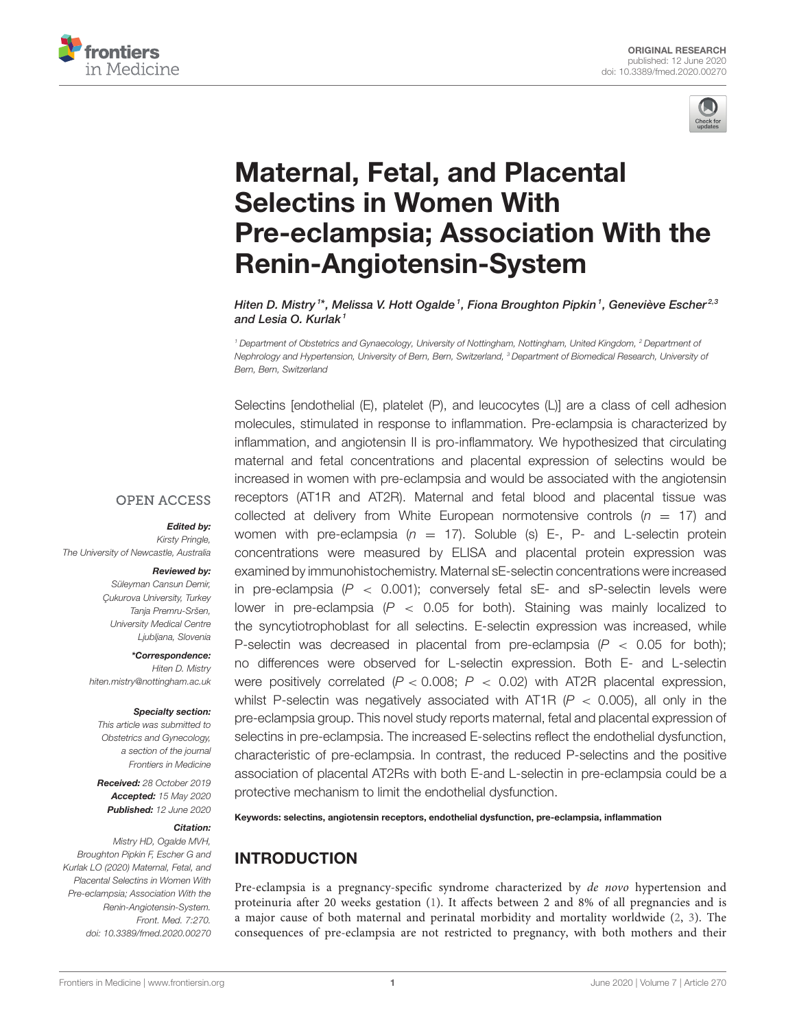



# Maternal, Fetal, and Placental Selectins in Women With [Pre-eclampsia; Association With the](https://www.frontiersin.org/articles/10.3389/fmed.2020.00270/full) Renin-Angiotensin-System

[Hiten D. Mistry](http://loop.frontiersin.org/people/313013/overview) <sup>1\*</sup>, Melissa V. Hott Ogalde <sup>1</sup>, Fiona Broughton Pipkin <sup>1</sup>, [Geneviève Escher](http://loop.frontiersin.org/people/189776/overview) <sup>2,3</sup> and [Lesia O. Kurlak](http://loop.frontiersin.org/people/152948/overview)<sup>1</sup>

<sup>1</sup> Department of Obstetrics and Gynaecology, University of Nottingham, Nottingham, United Kingdom, <sup>2</sup> Department of Nephrology and Hypertension, University of Bern, Bern, Switzerland, <sup>3</sup> Department of Biomedical Research, University of Bern, Bern, Switzerland

Selectins [endothelial (E), platelet (P), and leucocytes (L)] are a class of cell adhesion molecules, stimulated in response to inflammation. Pre-eclampsia is characterized by inflammation, and angiotensin II is pro-inflammatory. We hypothesized that circulating maternal and fetal concentrations and placental expression of selectins would be increased in women with pre-eclampsia and would be associated with the angiotensin receptors (AT1R and AT2R). Maternal and fetal blood and placental tissue was collected at delivery from White European normotensive controls  $(n = 17)$  and women with pre-eclampsia ( $n = 17$ ). Soluble (s) E-, P- and L-selectin protein concentrations were measured by ELISA and placental protein expression was examined by immunohistochemistry. Maternal sE-selectin concentrations were increased in pre-eclampsia ( $P < 0.001$ ); conversely fetal sE- and sP-selectin levels were lower in pre-eclampsia ( $P < 0.05$  for both). Staining was mainly localized to the syncytiotrophoblast for all selectins. E-selectin expression was increased, while P-selectin was decreased in placental from pre-eclampsia  $(P < 0.05$  for both); no differences were observed for L-selectin expression. Both E- and L-selectin were positively correlated  $(P < 0.008; P < 0.02)$  with AT2R placental expression, whilst P-selectin was negatively associated with AT1R ( $P < 0.005$ ), all only in the pre-eclampsia group. This novel study reports maternal, fetal and placental expression of selectins in pre-eclampsia. The increased E-selectins reflect the endothelial dysfunction, characteristic of pre-eclampsia. In contrast, the reduced P-selectins and the positive association of placental AT2Rs with both E-and L-selectin in pre-eclampsia could be a protective mechanism to limit the endothelial dysfunction.

Keywords: selectins, angiotensin receptors, endothelial dysfunction, pre-eclampsia, inflammation

# INTRODUCTION

Pre-eclampsia is a pregnancy-specific syndrome characterized by de novo hypertension and proteinuria after 20 weeks gestation [\(1\)](#page-6-0). It affects between 2 and 8% of all pregnancies and is a major cause of both maternal and perinatal morbidity and mortality worldwide [\(2,](#page-6-1) [3\)](#page-6-2). The consequences of pre-eclampsia are not restricted to pregnancy, with both mothers and their

#### **OPEN ACCESS**

#### Edited by:

Kirsty Pringle, The University of Newcastle, Australia

#### Reviewed by:

Süleyman Cansun Demir, Çukurova University, Turkey Tanja Premru-Sršen, University Medical Centre Ljubljana, Slovenia

\*Correspondence: Hiten D. Mistry [hiten.mistry@nottingham.ac.uk](mailto:hiten.mistry@nottingham.ac.uk)

#### Specialty section:

This article was submitted to Obstetrics and Gynecology, a section of the journal Frontiers in Medicine

Received: 28 October 2019 Accepted: 15 May 2020 Published: 12 June 2020

#### Citation:

Mistry HD, Ogalde MVH, Broughton Pipkin F, Escher G and Kurlak LO (2020) Maternal, Fetal, and Placental Selectins in Women With Pre-eclampsia; Association With the Renin-Angiotensin-System. Front. Med. 7:270. doi: [10.3389/fmed.2020.00270](https://doi.org/10.3389/fmed.2020.00270)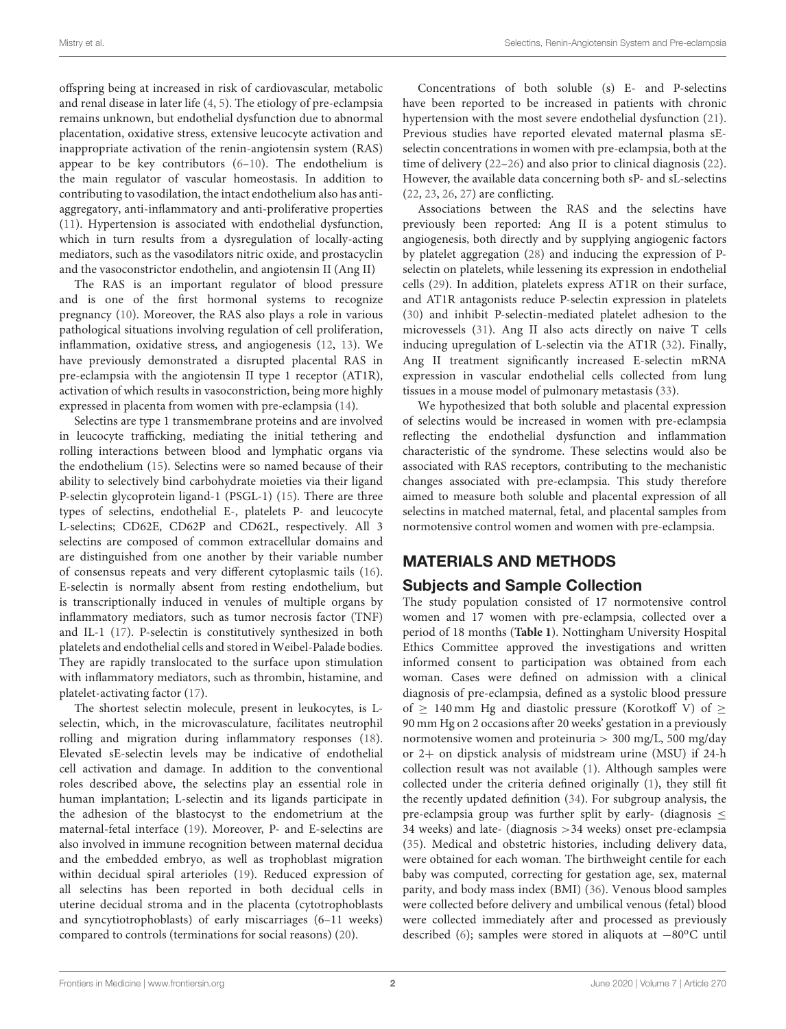offspring being at increased in risk of cardiovascular, metabolic and renal disease in later life [\(4,](#page-6-3) [5\)](#page-6-4). The etiology of pre-eclampsia remains unknown, but endothelial dysfunction due to abnormal placentation, oxidative stress, extensive leucocyte activation and inappropriate activation of the renin-angiotensin system (RAS) appear to be key contributors [\(6–](#page-6-5)[10\)](#page-6-6). The endothelium is the main regulator of vascular homeostasis. In addition to contributing to vasodilation, the intact endothelium also has antiaggregatory, anti-inflammatory and anti-proliferative properties [\(11\)](#page-6-7). Hypertension is associated with endothelial dysfunction, which in turn results from a dysregulation of locally-acting mediators, such as the vasodilators nitric oxide, and prostacyclin and the vasoconstrictor endothelin, and angiotensin II (Ang II)

The RAS is an important regulator of blood pressure and is one of the first hormonal systems to recognize pregnancy [\(10\)](#page-6-6). Moreover, the RAS also plays a role in various pathological situations involving regulation of cell proliferation, inflammation, oxidative stress, and angiogenesis [\(12,](#page-6-8) [13\)](#page-6-9). We have previously demonstrated a disrupted placental RAS in pre-eclampsia with the angiotensin II type 1 receptor (AT1R), activation of which results in vasoconstriction, being more highly expressed in placenta from women with pre-eclampsia [\(14\)](#page-6-10).

Selectins are type 1 transmembrane proteins and are involved in leucocyte trafficking, mediating the initial tethering and rolling interactions between blood and lymphatic organs via the endothelium [\(15\)](#page-6-11). Selectins were so named because of their ability to selectively bind carbohydrate moieties via their ligand P-selectin glycoprotein ligand-1 (PSGL-1) [\(15\)](#page-6-11). There are three types of selectins, endothelial E-, platelets P- and leucocyte L-selectins; CD62E, CD62P and CD62L, respectively. All 3 selectins are composed of common extracellular domains and are distinguished from one another by their variable number of consensus repeats and very different cytoplasmic tails [\(16\)](#page-6-12). E-selectin is normally absent from resting endothelium, but is transcriptionally induced in venules of multiple organs by inflammatory mediators, such as tumor necrosis factor (TNF) and IL-1 [\(17\)](#page-6-13). P-selectin is constitutively synthesized in both platelets and endothelial cells and stored in Weibel-Palade bodies. They are rapidly translocated to the surface upon stimulation with inflammatory mediators, such as thrombin, histamine, and platelet-activating factor [\(17\)](#page-6-13).

The shortest selectin molecule, present in leukocytes, is Lselectin, which, in the microvasculature, facilitates neutrophil rolling and migration during inflammatory responses [\(18\)](#page-6-14). Elevated sE-selectin levels may be indicative of endothelial cell activation and damage. In addition to the conventional roles described above, the selectins play an essential role in human implantation; L-selectin and its ligands participate in the adhesion of the blastocyst to the endometrium at the maternal-fetal interface [\(19\)](#page-6-15). Moreover, P- and E-selectins are also involved in immune recognition between maternal decidua and the embedded embryo, as well as trophoblast migration within decidual spiral arterioles [\(19\)](#page-6-15). Reduced expression of all selectins has been reported in both decidual cells in uterine decidual stroma and in the placenta (cytotrophoblasts and syncytiotrophoblasts) of early miscarriages (6–11 weeks) compared to controls (terminations for social reasons) [\(20\)](#page-6-16).

Concentrations of both soluble (s) E- and P-selectins have been reported to be increased in patients with chronic hypertension with the most severe endothelial dysfunction [\(21\)](#page-6-17). Previous studies have reported elevated maternal plasma sEselectin concentrations in women with pre-eclampsia, both at the time of delivery [\(22–](#page-6-18)[26\)](#page-6-19) and also prior to clinical diagnosis [\(22\)](#page-6-18). However, the available data concerning both sP- and sL-selectins [\(22,](#page-6-18) [23,](#page-6-20) [26,](#page-6-19) [27\)](#page-6-21) are conflicting.

Associations between the RAS and the selectins have previously been reported: Ang II is a potent stimulus to angiogenesis, both directly and by supplying angiogenic factors by platelet aggregation [\(28\)](#page-6-22) and inducing the expression of Pselectin on platelets, while lessening its expression in endothelial cells [\(29\)](#page-6-23). In addition, platelets express AT1R on their surface, and AT1R antagonists reduce P-selectin expression in platelets [\(30\)](#page-6-24) and inhibit P-selectin-mediated platelet adhesion to the microvessels [\(31\)](#page-6-25). Ang II also acts directly on naive T cells inducing upregulation of L-selectin via the AT1R [\(32\)](#page-6-26). Finally, Ang II treatment significantly increased E-selectin mRNA expression in vascular endothelial cells collected from lung tissues in a mouse model of pulmonary metastasis [\(33\)](#page-6-27).

We hypothesized that both soluble and placental expression of selectins would be increased in women with pre-eclampsia reflecting the endothelial dysfunction and inflammation characteristic of the syndrome. These selectins would also be associated with RAS receptors, contributing to the mechanistic changes associated with pre-eclampsia. This study therefore aimed to measure both soluble and placental expression of all selectins in matched maternal, fetal, and placental samples from normotensive control women and women with pre-eclampsia.

# MATERIALS AND METHODS

## Subjects and Sample Collection

The study population consisted of 17 normotensive control women and 17 women with pre-eclampsia, collected over a period of 18 months (**[Table 1](#page-2-0)**). Nottingham University Hospital Ethics Committee approved the investigations and written informed consent to participation was obtained from each woman. Cases were defined on admission with a clinical diagnosis of pre-eclampsia, defined as a systolic blood pressure of  $\geq$  140 mm Hg and diastolic pressure (Korotkoff V) of  $\geq$ 90 mm Hg on 2 occasions after 20 weeks' gestation in a previously normotensive women and proteinuria > 300 mg/L, 500 mg/day or 2+ on dipstick analysis of midstream urine (MSU) if 24-h collection result was not available [\(1\)](#page-6-0). Although samples were collected under the criteria defined originally [\(1\)](#page-6-0), they still fit the recently updated definition [\(34\)](#page-6-28). For subgroup analysis, the pre-eclampsia group was further split by early- (diagnosis  $\leq$ 34 weeks) and late- (diagnosis >34 weeks) onset pre-eclampsia [\(35\)](#page-6-29). Medical and obstetric histories, including delivery data, were obtained for each woman. The birthweight centile for each baby was computed, correcting for gestation age, sex, maternal parity, and body mass index (BMI) [\(36\)](#page-7-0). Venous blood samples were collected before delivery and umbilical venous (fetal) blood were collected immediately after and processed as previously described [\(6\)](#page-6-5); samples were stored in aliquots at −80°C until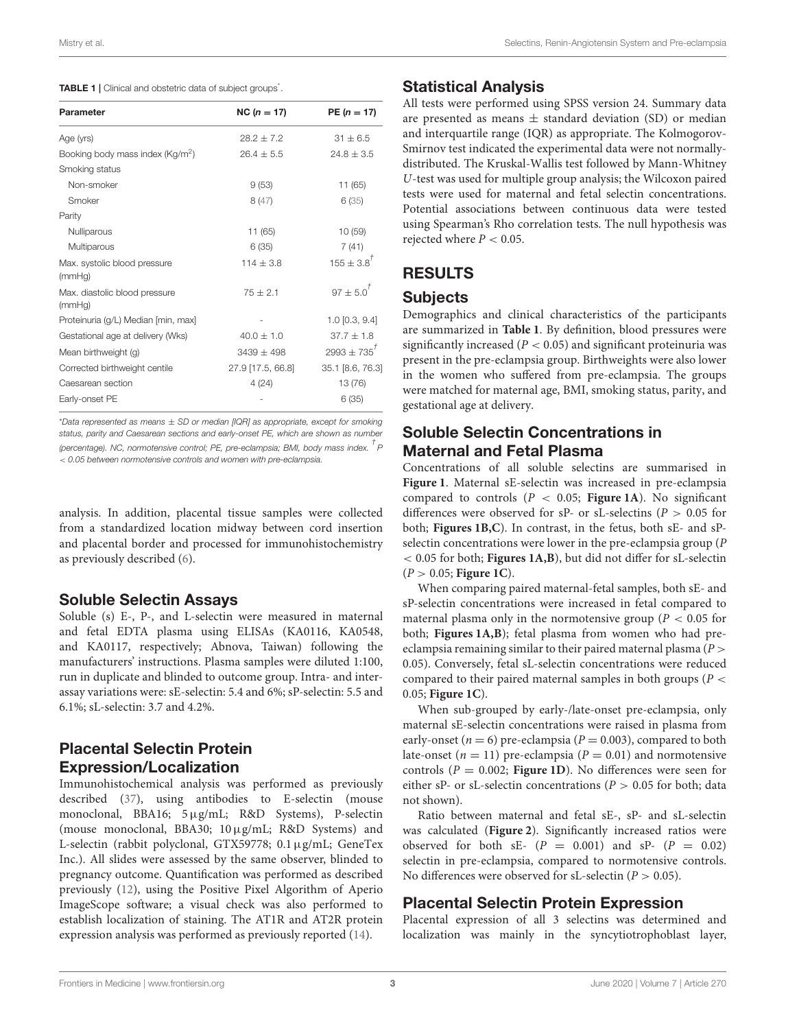<span id="page-2-0"></span>

| <b>TABLE 1</b>   Clinical and obstetric data of subject groups <sup>*</sup> . |  |
|-------------------------------------------------------------------------------|--|
|-------------------------------------------------------------------------------|--|

| Parameter                                    | $NC (n = 17)$     | $PE (n = 17)$      |
|----------------------------------------------|-------------------|--------------------|
| Age (yrs)                                    | $28.2 + 7.2$      | $31 \pm 6.5$       |
| Booking body mass index (Kg/m <sup>2</sup> ) | $26.4 \pm 5.5$    | $24.8 \pm 3.5$     |
| Smoking status                               |                   |                    |
| Non-smoker                                   | 9(53)             | 11 (65)            |
| Smoker                                       | 8(47)             | 6(35)              |
| Parity                                       |                   |                    |
| Nulliparous                                  | 11 (65)           | 10 (59)            |
| Multiparous                                  | 6(35)             | 7(41)              |
| Max. systolic blood pressure<br>(mmHg)       | $114 \pm 3.8$     | $155 + 3.8'$       |
| Max. diastolic blood pressure<br>(mmHq)      | $75 \pm 2.1$      | $97 \pm 5.0^{7}$   |
| Proteinuria (g/L) Median [min, max]          |                   | $1.0$ [0.3, 9.4]   |
| Gestational age at delivery (Wks)            | $40.0 \pm 1.0$    | $37.7 + 1.8$       |
| Mean birthweight (g)                         | $3439 \pm 498$    | $2993 \pm 735^{T}$ |
| Corrected birthweight centile                | 27.9 [17.5, 66.8] | 35.1 [8.6, 76.3]   |
| Caesarean section                            | 4(24)             | 13 (76)            |
| Early-onset PE                               |                   | 6 (35)             |
|                                              |                   |                    |

 $*$ Data represented as means  $\pm$  SD or median [IQR] as appropriate, except for smoking status, parity and Caesarean sections and early-onset PE, which are shown as number (percentage). NC, normotensive control; PE, pre-eclampsia; BMI, body mass index. † P < 0.05 between normotensive controls and women with pre-eclampsia.

analysis. In addition, placental tissue samples were collected from a standardized location midway between cord insertion and placental border and processed for immunohistochemistry as previously described [\(6\)](#page-6-5).

#### Soluble Selectin Assays

Soluble (s) E-, P-, and L-selectin were measured in maternal and fetal EDTA plasma using ELISAs (KA0116, KA0548, and KA0117, respectively; Abnova, Taiwan) following the manufacturers' instructions. Plasma samples were diluted 1:100, run in duplicate and blinded to outcome group. Intra- and interassay variations were: sE-selectin: 5.4 and 6%; sP-selectin: 5.5 and 6.1%; sL-selectin: 3.7 and 4.2%.

### Placental Selectin Protein Expression/Localization

Immunohistochemical analysis was performed as previously described [\(37\)](#page-7-1), using antibodies to E-selectin (mouse monoclonal, BBA16; 5µg/mL; R&D Systems), P-selectin (mouse monoclonal, BBA30; 10µg/mL; R&D Systems) and L-selectin (rabbit polyclonal, GTX59778; 0.1 µg/mL; GeneTex Inc.). All slides were assessed by the same observer, blinded to pregnancy outcome. Quantification was performed as described previously [\(12\)](#page-6-8), using the Positive Pixel Algorithm of Aperio ImageScope software; a visual check was also performed to establish localization of staining. The AT1R and AT2R protein expression analysis was performed as previously reported [\(14\)](#page-6-10).

#### Statistical Analysis

All tests were performed using SPSS version 24. Summary data are presented as means  $\pm$  standard deviation (SD) or median and interquartile range (IQR) as appropriate. The Kolmogorov-Smirnov test indicated the experimental data were not normallydistributed. The Kruskal-Wallis test followed by Mann-Whitney U-test was used for multiple group analysis; the Wilcoxon paired tests were used for maternal and fetal selectin concentrations. Potential associations between continuous data were tested using Spearman's Rho correlation tests. The null hypothesis was rejected where  $P < 0.05$ .

### RESULTS

#### **Subjects**

Demographics and clinical characteristics of the participants are summarized in **[Table 1](#page-2-0)**. By definition, blood pressures were significantly increased ( $P < 0.05$ ) and significant proteinuria was present in the pre-eclampsia group. Birthweights were also lower in the women who suffered from pre-eclampsia. The groups were matched for maternal age, BMI, smoking status, parity, and gestational age at delivery.

#### Soluble Selectin Concentrations in Maternal and Fetal Plasma

Concentrations of all soluble selectins are summarised in **[Figure 1](#page-3-0)**. Maternal sE-selectin was increased in pre-eclampsia compared to controls ( $P < 0.05$ ; **[Figure 1A](#page-3-0)**). No significant differences were observed for sP- or sL-selectins ( $P > 0.05$  for both; **[Figures 1B,C](#page-3-0)**). In contrast, in the fetus, both sE- and sPselectin concentrations were lower in the pre-eclampsia group (P < 0.05 for both; **[Figures 1A,B](#page-3-0)**), but did not differ for sL-selectin (P > 0.05; **[Figure 1C](#page-3-0)**).

When comparing paired maternal-fetal samples, both sE- and sP-selectin concentrations were increased in fetal compared to maternal plasma only in the normotensive group ( $P < 0.05$  for both; **[Figures 1A,B](#page-3-0)**); fetal plasma from women who had preeclampsia remaining similar to their paired maternal plasma ( $P >$ 0.05). Conversely, fetal sL-selectin concentrations were reduced compared to their paired maternal samples in both groups ( $P <$ 0.05; **[Figure 1C](#page-3-0)**).

When sub-grouped by early-/late-onset pre-eclampsia, only maternal sE-selectin concentrations were raised in plasma from early-onset ( $n = 6$ ) pre-eclampsia ( $P = 0.003$ ), compared to both late-onset ( $n = 11$ ) pre-eclampsia ( $P = 0.01$ ) and normotensive controls ( $P = 0.002$ ; **[Figure 1D](#page-3-0)**). No differences were seen for either sP- or sL-selectin concentrations ( $P > 0.05$  for both; data not shown).

Ratio between maternal and fetal sE-, sP- and sL-selectin was calculated (**[Figure 2](#page-4-0)**). Significantly increased ratios were observed for both sE-  $(P = 0.001)$  and sP-  $(P = 0.02)$ selectin in pre-eclampsia, compared to normotensive controls. No differences were observed for sL-selectin ( $P > 0.05$ ).

#### Placental Selectin Protein Expression

Placental expression of all 3 selectins was determined and localization was mainly in the syncytiotrophoblast layer,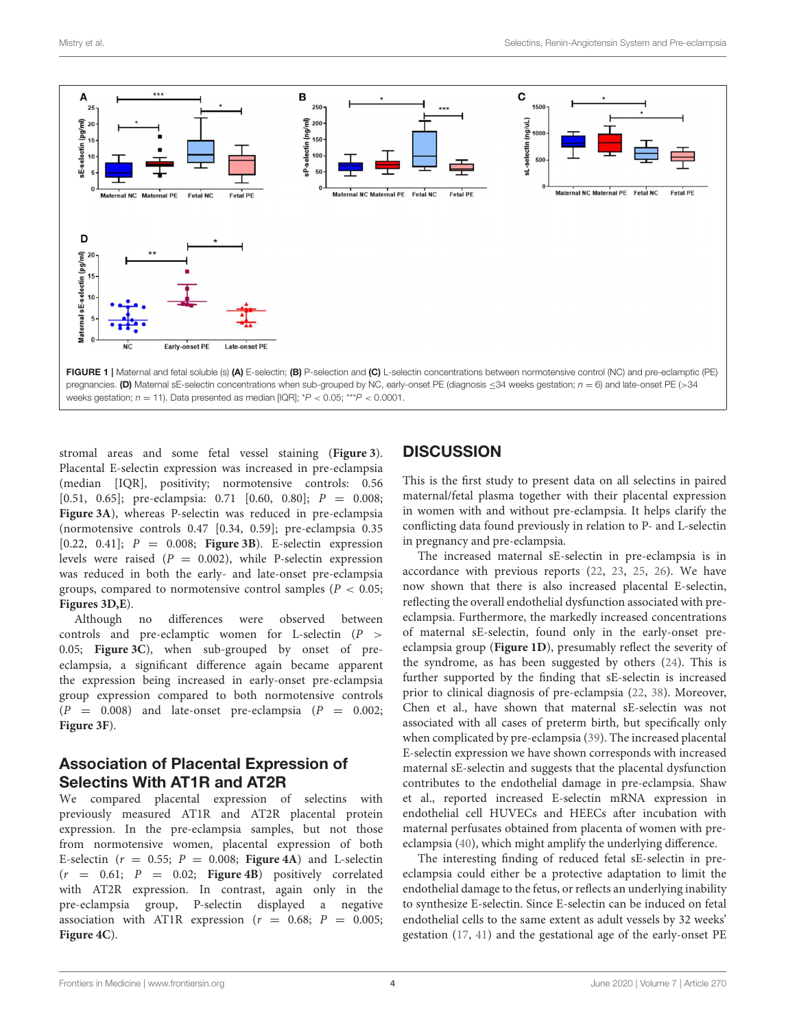

<span id="page-3-0"></span>stromal areas and some fetal vessel staining (**[Figure 3](#page-4-1)**). Placental E-selectin expression was increased in pre-eclampsia (median [IQR], positivity; normotensive controls: 0.56 [0.51, 0.65]; pre-eclampsia: 0.71 [0.60, 0.80];  $P = 0.008$ ; **[Figure 3A](#page-4-1)**), whereas P-selectin was reduced in pre-eclampsia (normotensive controls 0.47 [0.34, 0.59]; pre-eclampsia 0.35 [0.22, 0.41]; P = 0.008; **[Figure 3B](#page-4-1)**). E-selectin expression levels were raised ( $P = 0.002$ ), while P-selectin expression was reduced in both the early- and late-onset pre-eclampsia groups, compared to normotensive control samples ( $P < 0.05$ ; **[Figures 3D,E](#page-4-1)**).

Although no differences were observed between controls and pre-eclamptic women for L-selectin  $(P >$ 0.05; **[Figure 3C](#page-4-1)**), when sub-grouped by onset of preeclampsia, a significant difference again became apparent the expression being increased in early-onset pre-eclampsia group expression compared to both normotensive controls  $(P = 0.008)$  and late-onset pre-eclampsia  $(P = 0.002;$ **[Figure 3F](#page-4-1)**).

# Association of Placental Expression of Selectins With AT1R and AT2R

We compared placental expression of selectins with previously measured AT1R and AT2R placental protein expression. In the pre-eclampsia samples, but not those from normotensive women, placental expression of both E-selectin ( $r = 0.55$ ;  $P = 0.008$ ; **[Figure 4A](#page-5-0)**) and L-selectin  $(r = 0.61; P = 0.02;$  **[Figure 4B](#page-5-0)**) positively correlated with AT2R expression. In contrast, again only in the pre-eclampsia group, P-selectin displayed a negative association with AT1R expression ( $r = 0.68$ ;  $P = 0.005$ ; **[Figure 4C](#page-5-0)**).

### **DISCUSSION**

This is the first study to present data on all selectins in paired maternal/fetal plasma together with their placental expression in women with and without pre-eclampsia. It helps clarify the conflicting data found previously in relation to P- and L-selectin in pregnancy and pre-eclampsia.

The increased maternal sE-selectin in pre-eclampsia is in accordance with previous reports [\(22,](#page-6-18) [23,](#page-6-20) [25,](#page-6-30) [26\)](#page-6-19). We have now shown that there is also increased placental E-selectin, reflecting the overall endothelial dysfunction associated with preeclampsia. Furthermore, the markedly increased concentrations of maternal sE-selectin, found only in the early-onset preeclampsia group (**[Figure 1D](#page-3-0)**), presumably reflect the severity of the syndrome, as has been suggested by others [\(24\)](#page-6-31). This is further supported by the finding that sE-selectin is increased prior to clinical diagnosis of pre-eclampsia [\(22,](#page-6-18) [38\)](#page-7-2). Moreover, Chen et al., have shown that maternal sE-selectin was not associated with all cases of preterm birth, but specifically only when complicated by pre-eclampsia [\(39\)](#page-7-3). The increased placental E-selectin expression we have shown corresponds with increased maternal sE-selectin and suggests that the placental dysfunction contributes to the endothelial damage in pre-eclampsia. Shaw et al., reported increased E-selectin mRNA expression in endothelial cell HUVECs and HEECs after incubation with maternal perfusates obtained from placenta of women with preeclampsia [\(40\)](#page-7-4), which might amplify the underlying difference.

The interesting finding of reduced fetal sE-selectin in preeclampsia could either be a protective adaptation to limit the endothelial damage to the fetus, or reflects an underlying inability to synthesize E-selectin. Since E-selectin can be induced on fetal endothelial cells to the same extent as adult vessels by 32 weeks' gestation [\(17,](#page-6-13) [41\)](#page-7-5) and the gestational age of the early-onset PE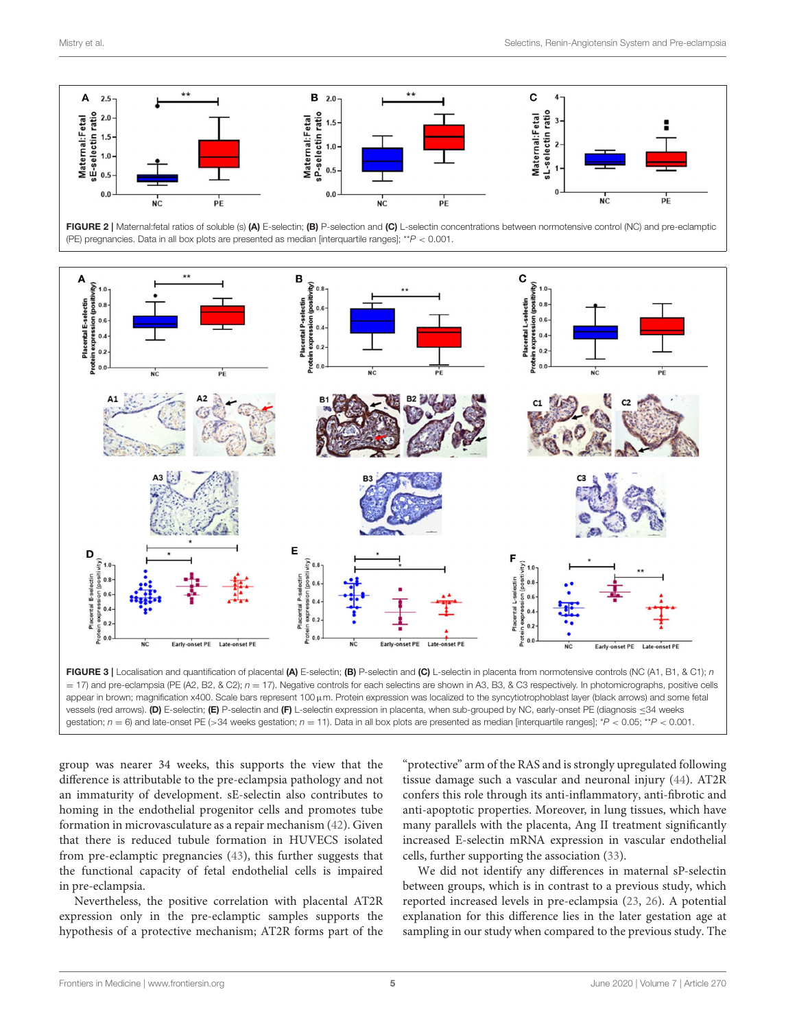

<span id="page-4-0"></span>FIGURE 2 | Maternal:fetal ratios of soluble (s) (A) E-selectin; (B) P-selection and (C) L-selectin concentrations between normotensive control (NC) and pre-eclamptic (PE) pregnancies. Data in all box plots are presented as median [interquartile ranges]; \*\*P < 0.001.



<span id="page-4-1"></span> $=$  17) and pre-eclampsia (PE (A2, B2, & C2);  $n = 17$ ). Negative controls for each selectins are shown in A3, B3, & C3 respectively. In photomicrographs, positive cells appear in brown; magnification x400. Scale bars represent 100 µm. Protein expression was localized to the syncytiotrophoblast layer (black arrows) and some fetal vessels (red arrows). (D) E-selectin; (E) P-selectin and (F) L-selectin expression in placenta, when sub-grouped by NC, early-onset PE (diagnosis ≤34 weeks gestation;  $n = 6$ ) and late-onset PE (>34 weeks gestation;  $n = 11$ ). Data in all box plots are presented as median [interquartile ranges]; \*P < 0.05; \*\*P < 0.001.

group was nearer 34 weeks, this supports the view that the difference is attributable to the pre-eclampsia pathology and not an immaturity of development. sE-selectin also contributes to homing in the endothelial progenitor cells and promotes tube formation in microvasculature as a repair mechanism [\(42\)](#page-7-6). Given that there is reduced tubule formation in HUVECS isolated from pre-eclamptic pregnancies [\(43\)](#page-7-7), this further suggests that the functional capacity of fetal endothelial cells is impaired in pre-eclampsia.

Nevertheless, the positive correlation with placental AT2R expression only in the pre-eclamptic samples supports the hypothesis of a protective mechanism; AT2R forms part of the "protective" arm of the RAS and is strongly upregulated following tissue damage such a vascular and neuronal injury [\(44\)](#page-7-8). AT2R confers this role through its anti-inflammatory, anti-fibrotic and anti-apoptotic properties. Moreover, in lung tissues, which have many parallels with the placenta, Ang II treatment significantly increased E-selectin mRNA expression in vascular endothelial cells, further supporting the association [\(33\)](#page-6-27).

We did not identify any differences in maternal sP-selectin between groups, which is in contrast to a previous study, which reported increased levels in pre-eclampsia [\(23,](#page-6-20) [26\)](#page-6-19). A potential explanation for this difference lies in the later gestation age at sampling in our study when compared to the previous study. The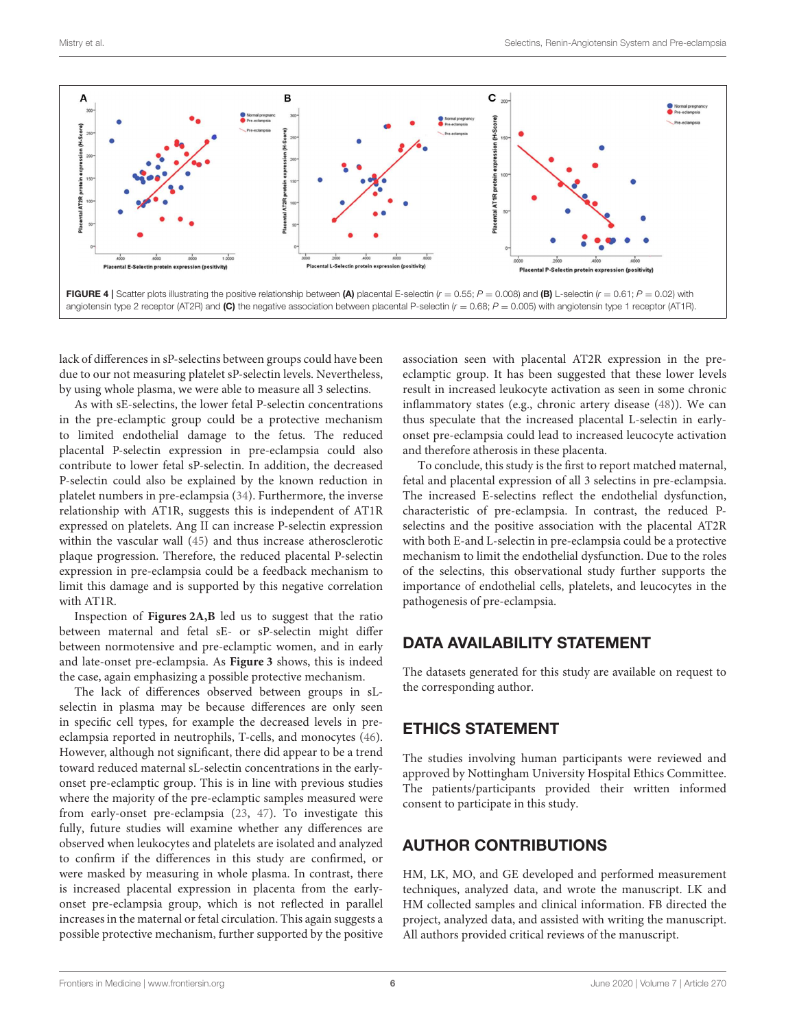

<span id="page-5-0"></span>lack of differences in sP-selectins between groups could have been due to our not measuring platelet sP-selectin levels. Nevertheless, by using whole plasma, we were able to measure all 3 selectins.

As with sE-selectins, the lower fetal P-selectin concentrations in the pre-eclamptic group could be a protective mechanism to limited endothelial damage to the fetus. The reduced placental P-selectin expression in pre-eclampsia could also contribute to lower fetal sP-selectin. In addition, the decreased P-selectin could also be explained by the known reduction in platelet numbers in pre-eclampsia [\(34\)](#page-6-28). Furthermore, the inverse relationship with AT1R, suggests this is independent of AT1R expressed on platelets. Ang II can increase P-selectin expression within the vascular wall [\(45\)](#page-7-9) and thus increase atherosclerotic plaque progression. Therefore, the reduced placental P-selectin expression in pre-eclampsia could be a feedback mechanism to limit this damage and is supported by this negative correlation with AT1R.

Inspection of **[Figures 2A,B](#page-4-0)** led us to suggest that the ratio between maternal and fetal sE- or sP-selectin might differ between normotensive and pre-eclamptic women, and in early and late-onset pre-eclampsia. As **[Figure 3](#page-4-1)** shows, this is indeed the case, again emphasizing a possible protective mechanism.

The lack of differences observed between groups in sLselectin in plasma may be because differences are only seen in specific cell types, for example the decreased levels in preeclampsia reported in neutrophils, T-cells, and monocytes [\(46\)](#page-7-10). However, although not significant, there did appear to be a trend toward reduced maternal sL-selectin concentrations in the earlyonset pre-eclamptic group. This is in line with previous studies where the majority of the pre-eclamptic samples measured were from early-onset pre-eclampsia [\(23,](#page-6-20) [47\)](#page-7-11). To investigate this fully, future studies will examine whether any differences are observed when leukocytes and platelets are isolated and analyzed to confirm if the differences in this study are confirmed, or were masked by measuring in whole plasma. In contrast, there is increased placental expression in placenta from the earlyonset pre-eclampsia group, which is not reflected in parallel increases in the maternal or fetal circulation. This again suggests a possible protective mechanism, further supported by the positive association seen with placental AT2R expression in the preeclamptic group. It has been suggested that these lower levels result in increased leukocyte activation as seen in some chronic inflammatory states (e.g., chronic artery disease [\(48\)](#page-7-12)). We can thus speculate that the increased placental L-selectin in earlyonset pre-eclampsia could lead to increased leucocyte activation and therefore atherosis in these placenta.

To conclude, this study is the first to report matched maternal, fetal and placental expression of all 3 selectins in pre-eclampsia. The increased E-selectins reflect the endothelial dysfunction, characteristic of pre-eclampsia. In contrast, the reduced Pselectins and the positive association with the placental AT2R with both E-and L-selectin in pre-eclampsia could be a protective mechanism to limit the endothelial dysfunction. Due to the roles of the selectins, this observational study further supports the importance of endothelial cells, platelets, and leucocytes in the pathogenesis of pre-eclampsia.

## DATA AVAILABILITY STATEMENT

The datasets generated for this study are available on request to the corresponding author.

## ETHICS STATEMENT

The studies involving human participants were reviewed and approved by Nottingham University Hospital Ethics Committee. The patients/participants provided their written informed consent to participate in this study.

# AUTHOR CONTRIBUTIONS

HM, LK, MO, and GE developed and performed measurement techniques, analyzed data, and wrote the manuscript. LK and HM collected samples and clinical information. FB directed the project, analyzed data, and assisted with writing the manuscript. All authors provided critical reviews of the manuscript.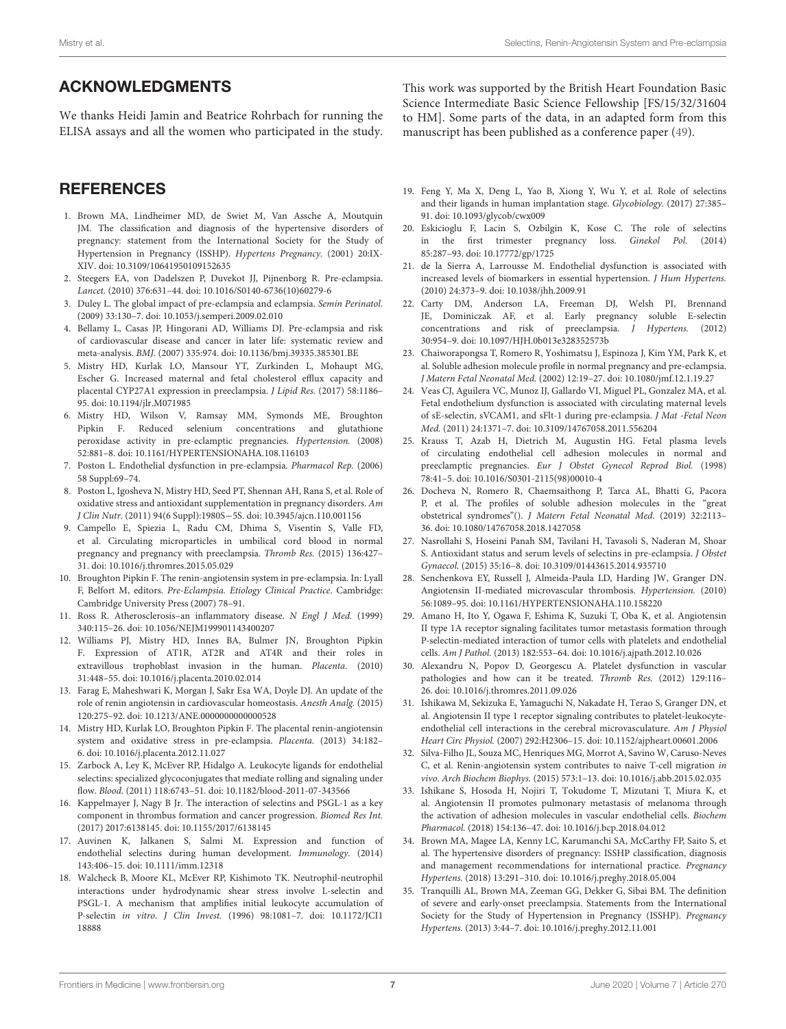# ACKNOWLEDGMENTS

We thanks Heidi Jamin and Beatrice Rohrbach for running the ELISA assays and all the women who participated in the study.

## **REFERENCES**

- <span id="page-6-0"></span>1. Brown MA, Lindheimer MD, de Swiet M, Van Assche A, Moutquin JM. The classification and diagnosis of the hypertensive disorders of pregnancy: statement from the International Society for the Study of Hypertension in Pregnancy (ISSHP). Hypertens Pregnancy. (2001) 20:IX-XIV. doi: [10.3109/10641950109152635](https://doi.org/10.3109/10641950109152635)
- <span id="page-6-1"></span>2. Steegers EA, von Dadelszen P, Duvekot JJ, Pijnenborg R. Pre-eclampsia. Lancet. (2010) 376:631–44. doi: [10.1016/S0140-6736\(10\)60279-6](https://doi.org/10.1016/S0140-6736(10)60279-6)
- <span id="page-6-2"></span>3. Duley L. The global impact of pre-eclampsia and eclampsia. Semin Perinatol. (2009) 33:130–7. doi: [10.1053/j.semperi.2009.02.010](https://doi.org/10.1053/j.semperi.2009.02.010)
- <span id="page-6-3"></span>4. Bellamy L, Casas JP, Hingorani AD, Williams DJ. Pre-eclampsia and risk of cardiovascular disease and cancer in later life: systematic review and meta-analysis. BMJ. (2007) 335:974. doi: [10.1136/bmj.39335.385301.BE](https://doi.org/10.1136/bmj.39335.385301.BE)
- <span id="page-6-4"></span>5. Mistry HD, Kurlak LO, Mansour YT, Zurkinden L, Mohaupt MG, Escher G. Increased maternal and fetal cholesterol efflux capacity and placental CYP27A1 expression in preeclampsia. J Lipid Res. (2017) 58:1186– 95. doi: [10.1194/jlr.M071985](https://doi.org/10.1194/jlr.M071985)
- <span id="page-6-5"></span>6. Mistry HD, Wilson V, Ramsay MM, Symonds ME, Broughton Pipkin F. Reduced selenium concentrations and glutathione peroxidase activity in pre-eclamptic pregnancies. Hypertension. (2008) 52:881–8. doi: [10.1161/HYPERTENSIONAHA.108.116103](https://doi.org/10.1161/HYPERTENSIONAHA.108.116103)
- 7. Poston L. Endothelial dysfunction in pre-eclampsia. Pharmacol Rep. (2006) 58 Suppl:69–74.
- 8. Poston L, Igosheva N, Mistry HD, Seed PT, Shennan AH, Rana S, et al. Role of oxidative stress and antioxidant supplementation in pregnancy disorders. Am J Clin Nutr. (2011) 94(6 Suppl):1980S−5S. doi: [10.3945/ajcn.110.001156](https://doi.org/10.3945/ajcn.110.001156)
- 9. Campello E, Spiezia L, Radu CM, Dhima S, Visentin S, Valle FD, et al. Circulating microparticles in umbilical cord blood in normal pregnancy and pregnancy with preeclampsia. Thromb Res. (2015) 136:427– 31. doi: [10.1016/j.thromres.2015.05.029](https://doi.org/10.1016/j.thromres.2015.05.029)
- <span id="page-6-6"></span>10. Broughton Pipkin F. The renin-angiotensin system in pre-eclampsia. In: Lyall F, Belfort M, editors. Pre-Eclampsia. Etiology Clinical Practice. Cambridge: Cambridge University Press (2007) 78–91.
- <span id="page-6-7"></span>11. Ross R. Atherosclerosis–an inflammatory disease. N Engl J Med. (1999) 340:115–26. doi: [10.1056/NEJM199901143400207](https://doi.org/10.1056/NEJM199901143400207)
- <span id="page-6-8"></span>12. Williams PJ, Mistry HD, Innes BA, Bulmer JN, Broughton Pipkin F. Expression of AT1R, AT2R and AT4R and their roles in extravillous trophoblast invasion in the human. Placenta. (2010) 31:448–55. doi: [10.1016/j.placenta.2010.02.014](https://doi.org/10.1016/j.placenta.2010.02.014)
- <span id="page-6-9"></span>13. Farag E, Maheshwari K, Morgan J, Sakr Esa WA, Doyle DJ. An update of the role of renin angiotensin in cardiovascular homeostasis. Anesth Analg. (2015) 120:275–92. doi: [10.1213/ANE.0000000000000528](https://doi.org/10.1213/ANE.0000000000000528)
- <span id="page-6-10"></span>14. Mistry HD, Kurlak LO, Broughton Pipkin F. The placental renin-angiotensin system and oxidative stress in pre-eclampsia. Placenta. (2013) 34:182– 6. doi: [10.1016/j.placenta.2012.11.027](https://doi.org/10.1016/j.placenta.2012.11.027)
- <span id="page-6-11"></span>15. Zarbock A, Ley K, McEver RP, Hidalgo A. Leukocyte ligands for endothelial selectins: specialized glycoconjugates that mediate rolling and signaling under flow. Blood. (2011) 118:6743–51. doi: [10.1182/blood-2011-07-343566](https://doi.org/10.1182/blood-2011-07-343566)
- <span id="page-6-12"></span>16. Kappelmayer J, Nagy B Jr. The interaction of selectins and PSGL-1 as a key component in thrombus formation and cancer progression. Biomed Res Int. (2017) 2017:6138145. doi: [10.1155/2017/6138145](https://doi.org/10.1155/2017/6138145)
- <span id="page-6-13"></span>17. Auvinen K, Jalkanen S, Salmi M. Expression and function of endothelial selectins during human development. Immunology. (2014) 143:406–15. doi: [10.1111/imm.12318](https://doi.org/10.1111/imm.12318)
- <span id="page-6-14"></span>18. Walcheck B, Moore KL, McEver RP, Kishimoto TK. Neutrophil-neutrophil interactions under hydrodynamic shear stress involve L-selectin and PSGL-1. A mechanism that amplifies initial leukocyte accumulation of P-selectin in vitro. J Clin Invest. [\(1996\) 98:1081–7. doi: 10.1172/JCI1](https://doi.org/10.1172/JCI118888) 18888

This work was supported by the British Heart Foundation Basic Science Intermediate Basic Science Fellowship [FS/15/32/31604 to HM]. Some parts of the data, in an adapted form from this manuscript has been published as a conference paper [\(49\)](#page-7-13).

- <span id="page-6-15"></span>19. Feng Y, Ma X, Deng L, Yao B, Xiong Y, Wu Y, et al. Role of selectins and their ligands in human implantation stage. Glycobiology. (2017) 27:385– 91. doi: [10.1093/glycob/cwx009](https://doi.org/10.1093/glycob/cwx009)
- <span id="page-6-16"></span>20. Eskicioglu F, Lacin S, Ozbilgin K, Kose C. The role of selectins in the first trimester pregnancy loss. Ginekol Pol. (2014) 85:287–93. doi: [10.17772/gp/1725](https://doi.org/10.17772/gp/1725)
- <span id="page-6-17"></span>21. de la Sierra A, Larrousse M. Endothelial dysfunction is associated with increased levels of biomarkers in essential hypertension. J Hum Hypertens. (2010) 24:373–9. doi: [10.1038/jhh.2009.91](https://doi.org/10.1038/jhh.2009.91)
- <span id="page-6-18"></span>22. Carty DM, Anderson LA, Freeman DJ, Welsh PI, Brennand JE, Dominiczak AF, et al. Early pregnancy soluble E-selectin concentrations and risk of preeclampsia. J Hypertens. (2012) 30:954–9. doi: [10.1097/HJH.0b013e328352573b](https://doi.org/10.1097/HJH.0b013e328352573b)
- <span id="page-6-20"></span>23. Chaiworapongsa T, Romero R, Yoshimatsu J, Espinoza J, Kim YM, Park K, et al. Soluble adhesion molecule profile in normal pregnancy and pre-eclampsia. J Matern Fetal Neonatal Med. (2002) 12:19–27. doi: [10.1080/jmf.12.1.19.27](https://doi.org/10.1080/jmf.12.1.19.27)
- <span id="page-6-31"></span>24. Veas CJ, Aguilera VC, Munoz IJ, Gallardo VI, Miguel PL, Gonzalez MA, et al. Fetal endothelium dysfunction is associated with circulating maternal levels of sE-selectin, sVCAM1, and sFlt-1 during pre-eclampsia. J Mat -Fetal Neon Med. (2011) 24:1371–7. doi: [10.3109/14767058.2011.556204](https://doi.org/10.3109/14767058.2011.556204)
- <span id="page-6-30"></span>25. Krauss T, Azab H, Dietrich M, Augustin HG. Fetal plasma levels of circulating endothelial cell adhesion molecules in normal and preeclamptic pregnancies. Eur J Obstet Gynecol Reprod Biol. (1998) 78:41–5. doi: [10.1016/S0301-2115\(98\)00010-4](https://doi.org/10.1016/S0301-2115(98)00010-4)
- <span id="page-6-19"></span>26. Docheva N, Romero R, Chaemsaithong P, Tarca AL, Bhatti G, Pacora P, et al. The profiles of soluble adhesion molecules in the "great obstetrical syndromes"(). J Matern Fetal Neonatal Med. (2019) 32:2113– 36. doi: [10.1080/14767058.2018.1427058](https://doi.org/10.1080/14767058.2018.1427058)
- <span id="page-6-21"></span>27. Nasrollahi S, Hoseini Panah SM, Tavilani H, Tavasoli S, Naderan M, Shoar S. Antioxidant status and serum levels of selectins in pre-eclampsia. J Obstet Gynaecol. (2015) 35:16–8. doi: [10.3109/01443615.2014.935710](https://doi.org/10.3109/01443615.2014.935710)
- <span id="page-6-22"></span>28. Senchenkova EY, Russell J, Almeida-Paula LD, Harding JW, Granger DN. Angiotensin II-mediated microvascular thrombosis. Hypertension. (2010) 56:1089–95. doi: [10.1161/HYPERTENSIONAHA.110.158220](https://doi.org/10.1161/HYPERTENSIONAHA.110.158220)
- <span id="page-6-23"></span>29. Amano H, Ito Y, Ogawa F, Eshima K, Suzuki T, Oba K, et al. Angiotensin II type 1A receptor signaling facilitates tumor metastasis formation through P-selectin-mediated interaction of tumor cells with platelets and endothelial cells. Am J Pathol. (2013) 182:553–64. doi: [10.1016/j.ajpath.2012.10.026](https://doi.org/10.1016/j.ajpath.2012.10.026)
- <span id="page-6-24"></span>30. Alexandru N, Popov D, Georgescu A. Platelet dysfunction in vascular pathologies and how can it be treated. Thromb Res. (2012) 129:116– 26. doi: [10.1016/j.thromres.2011.09.026](https://doi.org/10.1016/j.thromres.2011.09.026)
- <span id="page-6-25"></span>31. Ishikawa M, Sekizuka E, Yamaguchi N, Nakadate H, Terao S, Granger DN, et al. Angiotensin II type 1 receptor signaling contributes to platelet-leukocyteendothelial cell interactions in the cerebral microvasculature. Am J Physiol Heart Circ Physiol. (2007) 292:H2306–15. doi: [10.1152/ajpheart.00601.2006](https://doi.org/10.1152/ajpheart.00601.2006)
- <span id="page-6-26"></span>32. Silva-Filho JL, Souza MC, Henriques MG, Morrot A, Savino W, Caruso-Neves C, et al. Renin-angiotensin system contributes to naive T-cell migration in vivo. Arch Biochem Biophys. (2015) 573:1–13. doi: [10.1016/j.abb.2015.02.035](https://doi.org/10.1016/j.abb.2015.02.035)
- <span id="page-6-27"></span>33. Ishikane S, Hosoda H, Nojiri T, Tokudome T, Mizutani T, Miura K, et al. Angiotensin II promotes pulmonary metastasis of melanoma through the activation of adhesion molecules in vascular endothelial cells. Biochem Pharmacol. (2018) 154:136–47. doi: [10.1016/j.bcp.2018.04.012](https://doi.org/10.1016/j.bcp.2018.04.012)
- <span id="page-6-28"></span>34. Brown MA, Magee LA, Kenny LC, Karumanchi SA, McCarthy FP, Saito S, et al. The hypertensive disorders of pregnancy: ISSHP classification, diagnosis and management recommendations for international practice. Pregnancy Hypertens. (2018) 13:291–310. doi: [10.1016/j.preghy.2018.05.004](https://doi.org/10.1016/j.preghy.2018.05.004)
- <span id="page-6-29"></span>35. Tranquilli AL, Brown MA, Zeeman GG, Dekker G, Sibai BM. The definition of severe and early-onset preeclampsia. Statements from the International Society for the Study of Hypertension in Pregnancy (ISSHP). Pregnancy Hypertens. (2013) 3:44–7. doi: [10.1016/j.preghy.2012.11.001](https://doi.org/10.1016/j.preghy.2012.11.001)